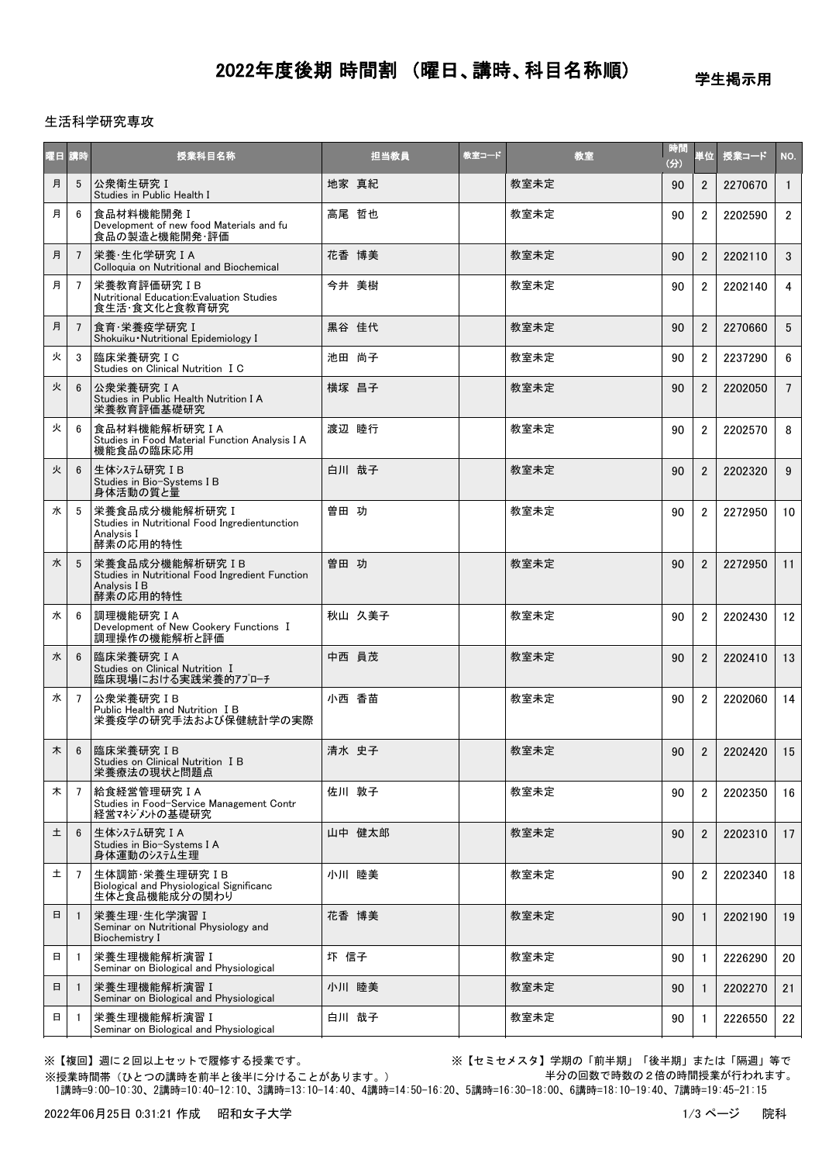# 2022年度後期 時間割 (曜日、講時、科目名称順)

学生掲示用

### 生活科学研究専攻

| 曜日 | 請時             | 授業科目名称                                                                                        | 担当教員   | 教室コード | 教室   | 時間<br>(分) | 単位             | 授業コード   | NO.             |
|----|----------------|-----------------------------------------------------------------------------------------------|--------|-------|------|-----------|----------------|---------|-----------------|
| 月  | 5              | 公衆衛生研究 I<br>Studies in Public Health I                                                        | 地家 真紀  |       | 教室未定 | 90        | $\overline{2}$ | 2270670 | $\overline{1}$  |
| 月  | 6              | 食品材料機能開発 I<br>Development of new food Materials and fu<br>食品の製造と機能開発·評価                       | 高尾 哲也  |       | 教室未定 | 90        | $\overline{2}$ | 2202590 | $\mathbf{2}$    |
| 月  | $\overline{7}$ | 栄養·生化学研究IA<br>Colloquia on Nutritional and Biochemical                                        | 花香 博美  |       | 教室未定 | 90        | $\overline{2}$ | 2202110 | 3               |
| 月  | 7              | 栄養教育評価研究 IB<br>Nutritional Education: Evaluation Studies<br>食生活・食文化と食教育研究                     | 今井 美樹  |       | 教室未定 | 90        | $\overline{2}$ | 2202140 | $\overline{4}$  |
| 月  | 7              | 食育·栄養疫学研究 I<br>Shokuiku Nutritional Epidemiology I                                            | 黒谷 佳代  |       | 教室未定 | 90        | $\overline{2}$ | 2270660 | $5\phantom{.0}$ |
| 火  | 3              | 臨床栄養研究IC<br>Studies on Clinical Nutrition I C                                                 | 池田 尚子  |       | 教室未定 | 90        | $\mathfrak{p}$ | 2237290 | 6               |
| 火  | 6              | 公衆栄養研究 I A<br>Studies in Public Health Nutrition I A<br>栄養教育評価基礎研究                            | 横塚 昌子  |       | 教室未定 | 90        | $\overline{2}$ | 2202050 | $7^{\circ}$     |
| 火  | 6              | 食品材料機能解析研究IA<br>Studies in Food Material Function Analysis I A<br>機能食品の臨床応用                   | 渡辺 睦行  |       | 教室未定 | 90        | $\overline{2}$ | 2202570 | 8               |
| 火  | 6              | 生体システム研究 IB<br>Studies in Bio-Systems I B<br>身体活動の質と量                                         | 白川 哉子  |       | 教室未定 | 90        | $\overline{2}$ | 2202320 | 9               |
| 水  | 5              | 栄養食品成分機能解析研究 I<br>Studies in Nutritional Food Ingredientunction<br>Analysis I<br>酵素の応用的特性     | 曽田 功   |       | 教室未定 | 90        | $\overline{2}$ | 2272950 | 10              |
| 水  | 5              | 栄養食品成分機能解析研究IB<br>Studies in Nutritional Food Ingredient Function<br>Analysis I B<br>酵素の応用的特性 | 曽田 功   |       | 教室未定 | 90        | $\overline{2}$ | 2272950 | 11              |
| 水  | 6              | 調理機能研究IA<br>Development of New Cookery Functions I<br>調理操作の機能解析と評価                            | 秋山 久美子 |       | 教室未定 | 90        | $\overline{2}$ | 2202430 | 12              |
| 水  | 6              | 臨床栄養研究IA<br>Studies on Clinical Nutrition I<br>臨床現場における実践栄養的アプローチ                             | 中西 員茂  |       | 教室未定 | 90        | $\overline{2}$ | 2202410 | 13              |
| 水  | 7              | 公衆栄養研究IB<br>Public Health and Nutrition I B<br>栄養疫学の研究手法および保健統計学の実際                           | 小西 香苗  |       | 教室未定 | 90        | $\overline{2}$ | 2202060 | 14              |
| 木  | 6              | 臨床栄養研究IB<br>Studies on Clinical Nutrition I B<br>栄養療法の現状と問題点                                  | 清水 史子  |       | 教室未定 | 90        | $\overline{2}$ | 2202420 | 15              |
| 木  | 7              | 給食経営管理研究IA<br>Studies in Food-Service Management Contr<br>経営マネジメントの基礎研究                       | 佐川 敦子  |       | 教室未定 | 90        | $\overline{2}$ | 2202350 | 16              |
| 土  | 6              | 生体システム研究 IA<br>Studies in Bio-Systems I A<br>身体運動のシステム生理                                      | 山中 健太郎 |       | 教室未定 | 90        | $\overline{2}$ | 2202310 | 17              |
| 土  | 7              | 生体調節·栄養生理研究IB<br>Biological and Physiological Significanc<br>生体と食品機能成分の関わり                    | 小川 睦美  |       | 教室未定 | 90        | $\overline{2}$ | 2202340 | 18              |
| 日  | $\mathbf{1}$   | 栄養生理·生化学演習 I<br>Seminar on Nutritional Physiology and<br>Biochemistry I                       | 花香 博美  |       | 教室未定 | 90        | $\mathbf{1}$   | 2202190 | 19              |
| 日  |                | 栄養生理機能解析演習 I<br>Seminar on Biological and Physiological                                       | 圷 信子   |       | 教室未定 | 90        | 1              | 2226290 | 20              |
| 日  | -1             | 栄養生理機能解析演習 I<br>Seminar on Biological and Physiological                                       | 小川 睦美  |       | 教室未定 | 90        | $\mathbf{1}$   | 2202270 | 21              |
| 日  | -1             | 栄養生理機能解析演習 I<br>Seminar on Biological and Physiological                                       | 白川 哉子  |       | 教室未定 | 90        | $\mathbf{1}$   | 2226550 | 22              |

※【複回】週に2回以上セットで履修する授業です。 ※【セミセメスタ】学期の「前半期」「後半期」または「隔週」等で 半分の回数で時数の2倍の時間授業が行われます。

 1講時=9:00-10:30、2講時=10:40-12:10、3講時=13:10-14:40、4講時=14:50-16:20、5講時=16:30-18:00、6講時=18:10-19:40、7講時=19:45-21:15 ※授業時間帯(ひとつの講時を前半と後半に分けることがあります。)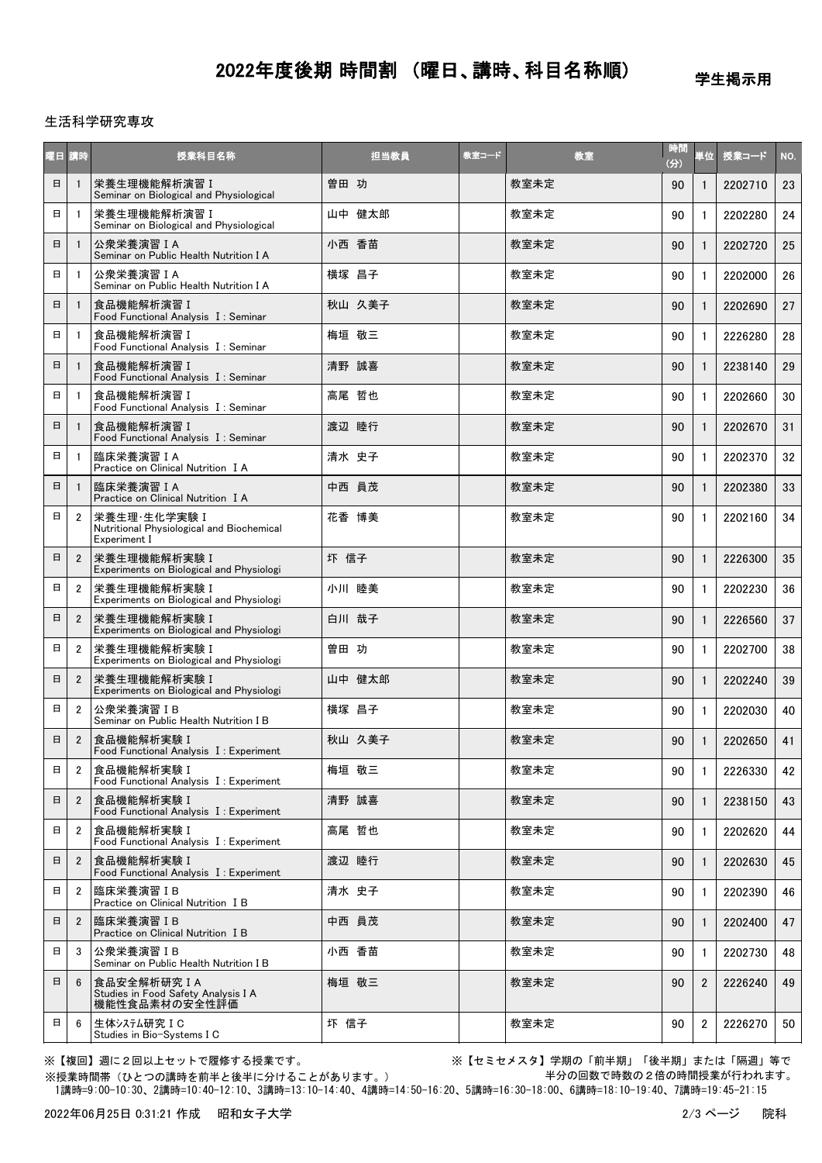# 2022年度後期 時間割 (曜日、講時、科目名称順)

学生掲示用

### 生活科学研究専攻

| 曜日 講時 |                | 授業科目名称                                                                    | 担当教員   | 教室コード | 教室   | 時間<br>(分) | 単位             | 授業コード   | NO. |
|-------|----------------|---------------------------------------------------------------------------|--------|-------|------|-----------|----------------|---------|-----|
| 日     |                | 栄養生理機能解析演習 I<br>Seminar on Biological and Physiological                   | 曽田 功   |       | 教室未定 | 90        | 1              | 2202710 | 23  |
| 日     |                | 栄養生理機能解析演習 I<br>Seminar on Biological and Physiological                   | 山中 健太郎 |       | 教室未定 | 90        | 1              | 2202280 | 24  |
| 日     |                | 公衆栄養演習 I A<br>Seminar on Public Health Nutrition I A                      | 小西 香苗  |       | 教室未定 | 90        | 1              | 2202720 | 25  |
| 日     |                | 公衆栄養演習 I A<br>Seminar on Public Health Nutrition I A                      | 横塚 昌子  |       | 教室未定 | 90        | 1              | 2202000 | 26  |
| 日     |                | 食品機能解析演習 I<br>Food Functional Analysis I: Seminar                         | 秋山 久美子 |       | 教室未定 | 90        |                | 2202690 | 27  |
| 日     |                | 食品機能解析演習 I<br>Food Functional Analysis I: Seminar                         | 梅垣 敬三  |       | 教室未定 | 90        |                | 2226280 | 28  |
| 日     |                | 食品機能解析演習 I<br>Food Functional Analysis I: Seminar                         | 清野 誠喜  |       | 教室未定 | 90        | 1              | 2238140 | 29  |
| 日     |                | 食品機能解析演習 I<br>Food Functional Analysis I: Seminar                         | 高尾 哲也  |       | 教室未定 | 90        | 1              | 2202660 | 30  |
| 日     |                | 食品機能解析演習I<br>Food Functional Analysis I: Seminar                          | 渡辺 睦行  |       | 教室未定 | 90        |                | 2202670 | 31  |
| 日     |                | 臨床栄養演習 I A<br>Practice on Clinical Nutrition I A                          | 清水 史子  |       | 教室未定 | 90        | 1              | 2202370 | 32  |
| 日     |                | 臨床栄養演習 IA<br>Practice on Clinical Nutrition I A                           | 中西 員茂  |       | 教室未定 | 90        |                | 2202380 | 33  |
| 日     | $\overline{2}$ | 栄養生理·生化学実験 I<br>Nutritional Physiological and Biochemical<br>Experiment I | 花香 博美  |       | 教室未定 | 90        | 1              | 2202160 | 34  |
| 日     | $\overline{2}$ | 栄養生理機能解析実験 I<br>Experiments on Biological and Physiologi                  | 圷 信子   |       | 教室未定 | 90        |                | 2226300 | 35  |
| 日     | $\overline{2}$ | 栄養生理機能解析実験 I<br>Experiments on Biological and Physiologi                  | 小川 睦美  |       | 教室未定 | 90        | 1              | 2202230 | 36  |
| 日     | $\overline{2}$ | 栄養生理機能解析実験 I<br>Experiments on Biological and Physiologi                  | 白川 哉子  |       | 教室未定 | 90        | $\mathbf{1}$   | 2226560 | 37  |
| 日     | $\overline{2}$ | 栄養生理機能解析実験 I<br>Experiments on Biological and Physiologi                  | 曽田 功   |       | 教室未定 | 90        |                | 2202700 | 38  |
| 日     | $\overline{2}$ | 栄養生理機能解析実験 I<br>Experiments on Biological and Physiologi                  | 山中 健太郎 |       | 教室未定 | 90        |                | 2202240 | 39  |
| 日     | $\overline{2}$ | 公衆栄養演習IB<br>Seminar on Public Health Nutrition I B                        | 横塚 昌子  |       | 教室未定 | 90        | 1              | 2202030 | 40  |
| 日     | $\overline{2}$ | 食品機能解析実験 I<br>Food Functional Analysis I: Experiment                      | 秋山 久美子 |       | 教室未定 | 90        | 1              | 2202650 | 41  |
| 日     | $\overline{2}$ | 食品機能解析実験 I<br>Food Functional Analysis I: Experiment                      | 梅垣 敬三  |       | 教室未定 | 90        | 1              | 2226330 | 42  |
| 日     | $\overline{2}$ | 食品機能解析実験I<br>Food Functional Analysis I: Experiment                       | 清野 誠喜  |       | 教室未定 | 90        | 1              | 2238150 | 43  |
| 日     | 2              | 食品機能解析実験 I<br>Food Functional Analysis I: Experiment                      | 高尾 哲也  |       | 教室未定 | 90        | 1              | 2202620 | 44  |
| 日     | 2              | 食品機能解析実験 I<br>Food Functional Analysis I: Experiment                      | 渡辺 睦行  |       | 教室未定 | 90        |                | 2202630 | 45  |
| 日     | 2              | 臨床栄養演習IB<br>Practice on Clinical Nutrition I B                            | 清水 史子  |       | 教室未定 | 90        | 1              | 2202390 | 46  |
| 日     | $\overline{2}$ | 臨床栄養演習IB<br>Practice on Clinical Nutrition I B                            | 中西 員茂  |       | 教室未定 | 90        | 1              | 2202400 | 47  |
| 日     | 3              | 公衆栄養演習 IB<br>Seminar on Public Health Nutrition I B                       | 小西 香苗  |       | 教室未定 | 90        | $\mathbf{1}$   | 2202730 | 48  |
| 日     | 6              | 食品安全解析研究IA<br>Studies in Food Safety Analysis I A<br>機能性食品素材の安全性評価        | 梅垣 敬三  |       | 教室未定 | 90        | $\overline{2}$ | 2226240 | 49  |
| 日     | 6              | 生体システム研究 IC<br>Studies in Bio-Systems I C                                 | 圷 信子   |       | 教室未定 | 90        | $\overline{2}$ | 2226270 | 50  |

※【複回】週に2回以上セットで履修する授業です。 アンチンススコン ※【セミセメスタ】学期の「前半期」「後半期」または「隔週」等で 半分の回数で時数の2倍の時間授業が行われます。

 1講時=9:00-10:30、2講時=10:40-12:10、3講時=13:10-14:40、4講時=14:50-16:20、5講時=16:30-18:00、6講時=18:10-19:40、7講時=19:45-21:15 ※授業時間帯(ひとつの講時を前半と後半に分けることがあります。)